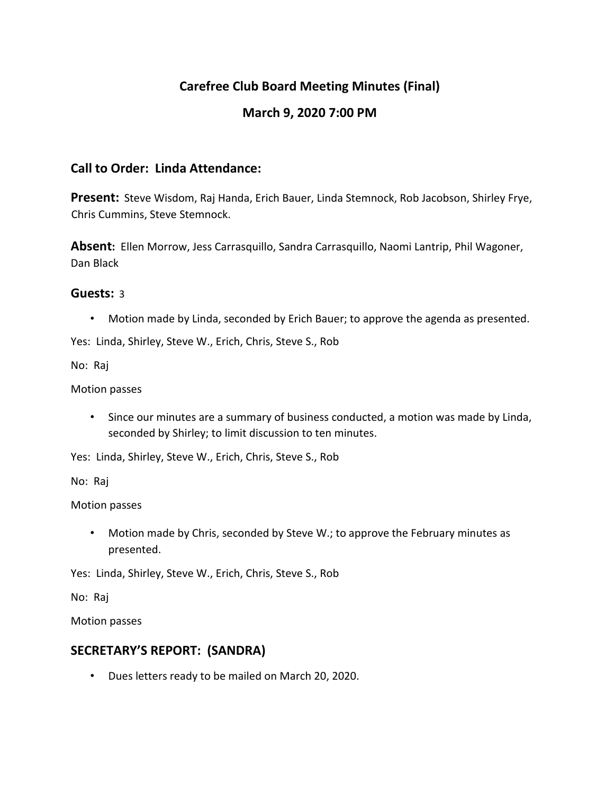# **Carefree Club Board Meeting Minutes (Final)**

## **March 9, 2020 7:00 PM**

#### **Call to Order: Linda Attendance:**

**Present:** Steve Wisdom, Raj Handa, Erich Bauer, Linda Stemnock, Rob Jacobson, Shirley Frye, Chris Cummins, Steve Stemnock.

**Absent:** Ellen Morrow, Jess Carrasquillo, Sandra Carrasquillo, Naomi Lantrip, Phil Wagoner, Dan Black

#### **Guests:** 3

• Motion made by Linda, seconded by Erich Bauer; to approve the agenda as presented.

Yes: Linda, Shirley, Steve W., Erich, Chris, Steve S., Rob

No: Raj

Motion passes

• Since our minutes are a summary of business conducted, a motion was made by Linda, seconded by Shirley; to limit discussion to ten minutes.

Yes: Linda, Shirley, Steve W., Erich, Chris, Steve S., Rob

No: Raj

Motion passes

• Motion made by Chris, seconded by Steve W.; to approve the February minutes as presented.

Yes: Linda, Shirley, Steve W., Erich, Chris, Steve S., Rob

No: Raj

Motion passes

### **SECRETARY'S REPORT: (SANDRA)**

• Dues letters ready to be mailed on March 20, 2020.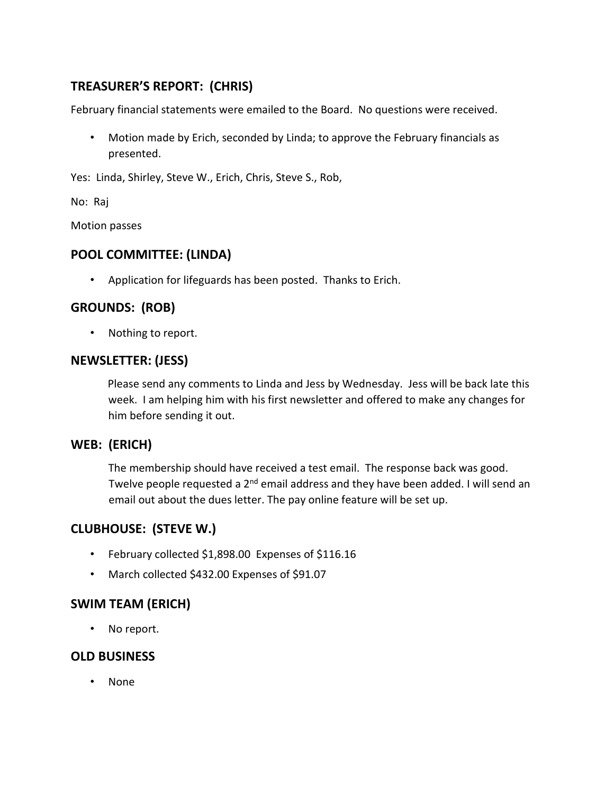# **TREASURER'S REPORT: (CHRIS)**

February financial statements were emailed to the Board. No questions were received.

• Motion made by Erich, seconded by Linda; to approve the February financials as presented.

Yes: Linda, Shirley, Steve W., Erich, Chris, Steve S., Rob,

No: Raj

Motion passes

## **POOL COMMITTEE: (LINDA)**

• Application for lifeguards has been posted. Thanks to Erich.

# **GROUNDS: (ROB)**

• Nothing to report.

#### **NEWSLETTER: (JESS)**

Please send any comments to Linda and Jess by Wednesday. Jess will be back late this week. I am helping him with his first newsletter and offered to make any changes for him before sending it out.

### **WEB: (ERICH)**

The membership should have received a test email. The response back was good. Twelve people requested a 2<sup>nd</sup> email address and they have been added. I will send an email out about the dues letter. The pay online feature will be set up.

# **CLUBHOUSE: (STEVE W.)**

- February collected \$1,898.00 Expenses of \$116.16
- March collected \$432.00 Expenses of \$91.07

# **SWIM TEAM (ERICH)**

• No report.

### **OLD BUSINESS**

• None